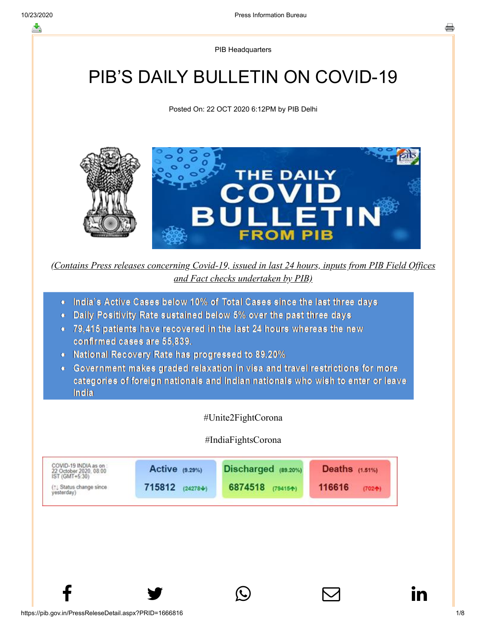PIB Headquarters

# PIB'S DAILY BULLETIN ON COVID-19

Posted On: 22 OCT 2020 6:12PM by PIB Delhi



*(Contains Press releases concerning Covid-19, issued in last 24 hours, inputs from PIB Field Offices and Fact checks undertaken by PIB)*

- . India's Active Cases below 10% of Total Cases since the last three days
- Daily Positivity Rate sustained below 5% over the past three days
- 79.415 patients have recovered in the last 24 hours whereas the new confirmed cases are 55,839.
- National Recovery Rate has progressed to 89.20%
- Government makes graded relaxation in visa and travel restrictions for more categories of foreign nationals and Indian nationals who wish to enter or leave India

#Unite2FightCorona

#### #IndiaFightsCorona

 $f$  y  $\circledcirc$   $\quad \circ$  in

| COVID-19 INDIA as on<br>22 October 2020, 08:00<br>IST (GMT+5:30) | Active (9.29%) | $Dischared$ $(89.20\%)$ | <b>Deaths</b> (1.51%) |
|------------------------------------------------------------------|----------------|-------------------------|-----------------------|
| [1] Status change since                                          | 715812         | 6874518                 | 116616                |
| vesterday)                                                       | $(24278 + 1)$  | (79415个)                | $(702 + )$            |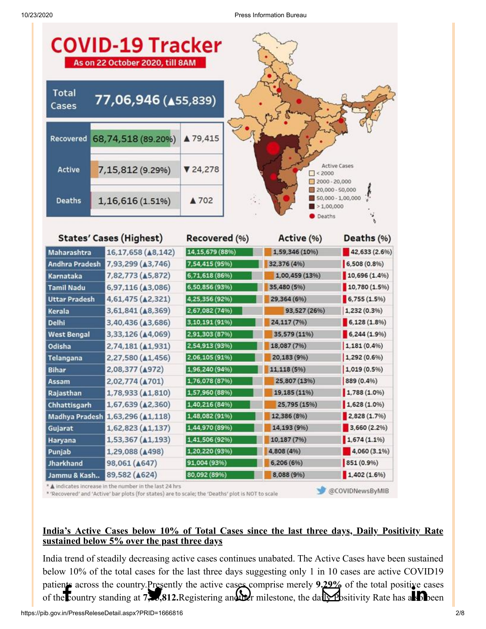

A indicates increase in the number in the last 24 hrs

\* 'Recovered' and 'Active' bar plots (for states) are to scale; the 'Deaths' plot is NOT to scale

# **India's Active Cases below 10% of Total Cases since the last three days, Daily Positivity Rate sustained below 5% over the past three days**

@COVIDNewsByMIB

India trend of steadily decreasing active cases continues unabated. The Active Cases have been sustained below 10% of the total cases for the last three days suggesting only 1 in 10 cases are active COVID19 [patients across th](http://www.facebook.com/share.php?u=https://pib.gov.in/PressReleasePage.aspx?PRID=1666816)[e country.Presently the](https://twitter.com/intent/tweet?url=https://pib.gov.in/PressReleasePage.aspx?PRID=1666816&text=PIB%E2%80%99S%20DAILY%20BULLETIN%20ON%20COVID-19) [active cases comprise m](https://api.whatsapp.com/send?text=https://pib.gov.in/PressReleasePage.aspx?PRID=1666816)erely **9.29%** of the t[otal positive cases](https://www.linkedin.com/shareArticle?mini=true&url=https://pib.gov.in/PressReleasePage.aspx?PRID=1666816&title=PIB%E2%80%99S%20DAILY%20BULLETIN%20ON%20COVID-19&summary=My%20favorite%20developer%20program&source=LinkedIn) of the country standing at **7,15,812.** Registering and the milesto[ne, the daily](https://mail.google.com/mail/?view=cm&fs=1&tf=1&to=&su=PIB%E2%80%99S%20DAILY%20BULLETIN%20ON%20COVID-19&body=https://pib.gov.in/PressReleasePage.aspx?PRID=1666816&ui=2&tf=1&pli=1) Positivity Rate has also been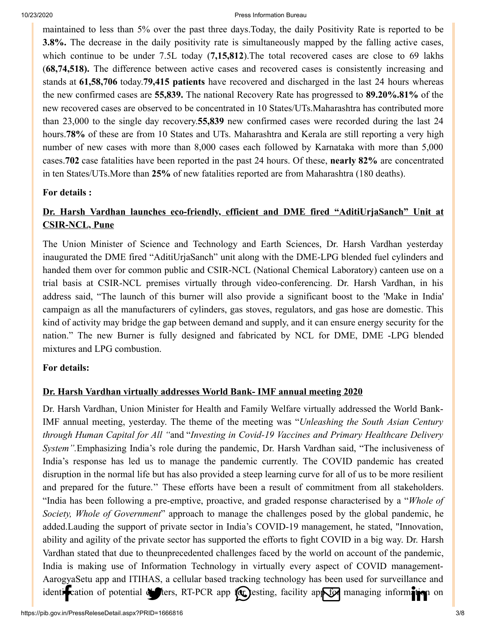[maintained to les](http://www.facebook.com/share.php?u=https://pib.gov.in/PressReleasePage.aspx?PRID=1666816)[s than 5% over the pa](https://twitter.com/intent/tweet?url=https://pib.gov.in/PressReleasePage.aspx?PRID=1666816&text=PIB%E2%80%99S%20DAILY%20BULLETIN%20ON%20COVID-19)[st three days.Today, th](https://api.whatsapp.com/send?text=https://pib.gov.in/PressReleasePage.aspx?PRID=1666816)[e daily Positivity Rate](https://mail.google.com/mail/?view=cm&fs=1&tf=1&to=&su=PIB%E2%80%99S%20DAILY%20BULLETIN%20ON%20COVID-19&body=https://pib.gov.in/PressReleasePage.aspx?PRID=1666816&ui=2&tf=1&pli=1) [is reported to be](https://www.linkedin.com/shareArticle?mini=true&url=https://pib.gov.in/PressReleasePage.aspx?PRID=1666816&title=PIB%E2%80%99S%20DAILY%20BULLETIN%20ON%20COVID-19&summary=My%20favorite%20developer%20program&source=LinkedIn) **3.8%.** The decrease in the daily positivity rate is simultaneously mapped by the falling active cases, which continue to be under 7.5L today (**7,15,812**).The total recovered cases are close to 69 lakhs (**68,74,518).** The difference between active cases and recovered cases is consistently increasing and stands at **61,58,706** today.**79,415 patients** have recovered and discharged in the last 24 hours whereas the new confirmed cases are **55,839.** The national Recovery Rate has progressed to **89.20%.81%** of the new recovered cases are observed to be concentrated in 10 States/UTs.Maharashtra has contributed more than 23,000 to the single day recovery.**55,839** new confirmed cases were recorded during the last 24 hours.**78%** of these are from 10 States and UTs. Maharashtra and Kerala are still reporting a very high number of new cases with more than 8,000 cases each followed by Karnataka with more than 5,000 cases.**702** case fatalities have been reported in the past 24 hours. Of these, **nearly 82%** are concentrated in ten States/UTs.More than **25%** of new fatalities reported are from Maharashtra (180 deaths).

# **[For details :](https://pib.gov.in/PressReleseDetail.aspx?PRID=1666474)**

# **Dr. Harsh Vardhan launches eco-friendly, efficient and DME fired "AditiUrjaSanch" Unit at CSIR-NCL, Pune**

The Union Minister of Science and Technology and Earth Sciences, Dr. Harsh Vardhan yesterday inaugurated the DME fired "AditiUrjaSanch" unit along with the DME-LPG blended fuel cylinders and handed them over for common public and CSIR-NCL (National Chemical Laboratory) canteen use on a trial basis at CSIR-NCL premises virtually through video-conferencing. Dr. Harsh Vardhan, in his address said, "The launch of this burner will also provide a significant boost to the 'Make in India' campaign as all the manufacturers of cylinders, gas stoves, regulators, and gas hose are domestic. This kind of activity may bridge the gap between demand and supply, and it can ensure energy security for the nation." The new Burner is fully designed and fabricated by NCL for DME, DME -LPG blended mixtures and LPG combustion.

# **[For details:](https://pib.gov.in/PressReleseDetail.aspx?PRID=1666510)**

# **Dr. Harsh Vardhan virtually addresses World Bank- IMF annual meeting 2020**

Dr. Harsh Vardhan, Union Minister for Health and Family Welfare virtually addressed the World Bank-IMF annual meeting, yesterday. The theme of the meeting was "*Unleashing the South Asian Century through Human Capital for All "*and "*Investing in Covid-19 Vaccines and Primary Healthcare Delivery System".*Emphasizing India's role during the pandemic, Dr. Harsh Vardhan said, "The inclusiveness of India's response has led us to manage the pandemic currently. The COVID pandemic has created disruption in the normal life but has also provided a steep learning curve for all of us to be more resilient and prepared for the future.'' These efforts have been a result of commitment from all stakeholders. "India has been following a pre-emptive, proactive, and graded response characterised by a "*Whole of Society, Whole of Government*" approach to manage the challenges posed by the global pandemic, he added.Lauding the support of private sector in India's COVID-19 management, he stated, "Innovation, ability and agility of the private sector has supported the efforts to fight COVID in a big way. Dr. Harsh Vardhan stated that due to theunprecedented challenges faced by the world on account of the pandemic, India is making use of Information Technology in virtually every aspect of COVID management-[AarogyaSetu app](http://www.facebook.com/share.php?u=https://pib.gov.in/PressReleasePage.aspx?PRID=1666816) [and ITIHAS, a cellula](https://twitter.com/intent/tweet?url=https://pib.gov.in/PressReleasePage.aspx?PRID=1666816&text=PIB%E2%80%99S%20DAILY%20BULLETIN%20ON%20COVID-19)[r based tracking techno](https://api.whatsapp.com/send?text=https://pib.gov.in/PressReleasePage.aspx?PRID=1666816)[logy has been used for](https://mail.google.com/mail/?view=cm&fs=1&tf=1&to=&su=PIB%E2%80%99S%20DAILY%20BULLETIN%20ON%20COVID-19&body=https://pib.gov.in/PressReleasePage.aspx?PRID=1666816&ui=2&tf=1&pli=1) surveillance and identification of potential defters, RT-PCR app for jesting, facility app for managi[ng information](https://www.linkedin.com/shareArticle?mini=true&url=https://pib.gov.in/PressReleasePage.aspx?PRID=1666816&title=PIB%E2%80%99S%20DAILY%20BULLETIN%20ON%20COVID-19&summary=My%20favorite%20developer%20program&source=LinkedIn) on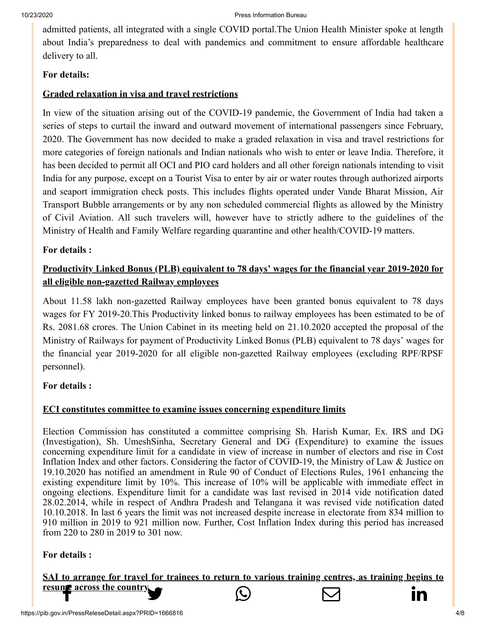[admitted patients,](http://www.facebook.com/share.php?u=https://pib.gov.in/PressReleasePage.aspx?PRID=1666816) [all integrated with a si](https://twitter.com/intent/tweet?url=https://pib.gov.in/PressReleasePage.aspx?PRID=1666816&text=PIB%E2%80%99S%20DAILY%20BULLETIN%20ON%20COVID-19)[ngle COVID portal.Th](https://api.whatsapp.com/send?text=https://pib.gov.in/PressReleasePage.aspx?PRID=1666816)[e Union Health Minist](https://mail.google.com/mail/?view=cm&fs=1&tf=1&to=&su=PIB%E2%80%99S%20DAILY%20BULLETIN%20ON%20COVID-19&body=https://pib.gov.in/PressReleasePage.aspx?PRID=1666816&ui=2&tf=1&pli=1)[er spoke at length](https://www.linkedin.com/shareArticle?mini=true&url=https://pib.gov.in/PressReleasePage.aspx?PRID=1666816&title=PIB%E2%80%99S%20DAILY%20BULLETIN%20ON%20COVID-19&summary=My%20favorite%20developer%20program&source=LinkedIn) about India's preparedness to deal with pandemics and commitment to ensure affordable healthcare delivery to all.

# **[For details:](https://pib.gov.in/PressReleseDetail.aspx?PRID=1666486)**

# **Graded relaxation in visa and travel restrictions**

In view of the situation arising out of the COVID-19 pandemic, the Government of India had taken a series of steps to curtail the inward and outward movement of international passengers since February, 2020. The Government has now decided to make a graded relaxation in visa and travel restrictions for more categories of foreign nationals and Indian nationals who wish to enter or leave India. Therefore, it has been decided to permit all OCI and PIO card holders and all other foreign nationals intending to visit India for any purpose, except on a Tourist Visa to enter by air or water routes through authorized airports and seaport immigration check posts. This includes flights operated under Vande Bharat Mission, Air Transport Bubble arrangements or by any non scheduled commercial flights as allowed by the Ministry of Civil Aviation. All such travelers will, however have to strictly adhere to the guidelines of the Ministry of Health and Family Welfare regarding quarantine and other health/COVID-19 matters.

# **[For details :](https://pib.gov.in/PressReleseDetail.aspx?PRID=1666713)**

# **Productivity Linked Bonus (PLB) equivalent to 78 days' wages for the financial year 2019-2020 for all eligible non-gazetted Railway employees**

About 11.58 lakh non-gazetted Railway employees have been granted bonus equivalent to 78 days wages for FY 2019-20.This Productivity linked bonus to railway employees has been estimated to be of Rs. 2081.68 crores. The Union Cabinet in its meeting held on 21.10.2020 accepted the proposal of the Ministry of Railways for payment of Productivity Linked Bonus (PLB) equivalent to 78 days' wages for the financial year 2019-2020 for all eligible non-gazetted Railway employees (excluding RPF/RPSF personnel).

# **[For details :](https://pib.gov.in/PressReleseDetail.aspx?PRID=1666740)**

# **ECI constitutes committee to examine issues concerning expenditure limits**

Election Commission has constituted a committee comprising Sh. Harish Kumar, Ex. IRS and DG (Investigation), Sh. UmeshSinha, Secretary General and DG (Expenditure) to examine the issues concerning expenditure limit for a candidate in view of increase in number of electors and rise in Cost Inflation Index and other factors. Considering the factor of COVID-19, the Ministry of Law & Justice on 19.10.2020 has notified an amendment in Rule 90 of Conduct of Elections Rules, 1961 enhancing the existing expenditure limit by 10%. This increase of 10% will be applicable with immediate effect in ongoing elections. Expenditure limit for a candidate was last revised in 2014 vide notification dated 28.02.2014, while in respect of Andhra Pradesh and Telangana it was revised vide notification dated 10.10.2018. In last 6 years the limit was not increased despite increase in electorate from 834 million to 910 million in 2019 to 921 million now. Further, Cost Inflation Index during this period has increased from 220 to 280 in 2019 to 301 now.

# **[For details :](https://pib.gov.in/PressReleseDetail.aspx?PRID=1666540)**

**SAI to arrange [for travel for trainees](https://twitter.com/intent/tweet?url=https://pib.gov.in/PressReleasePage.aspx?PRID=1666816&text=PIB%E2%80%99S%20DAILY%20BULLETIN%20ON%20COVID-19) [to return to various](https://api.whatsapp.com/send?text=https://pib.gov.in/PressReleasePage.aspx?PRID=1666816) [training centres, as t](https://mail.google.com/mail/?view=cm&fs=1&tf=1&to=&su=PIB%E2%80%99S%20DAILY%20BULLETIN%20ON%20COVID-19&body=https://pib.gov.in/PressReleasePage.aspx?PRID=1666816&ui=2&tf=1&pli=1)[raining begins to](https://www.linkedin.com/shareArticle?mini=true&url=https://pib.gov.in/PressReleasePage.aspx?PRID=1666816&title=PIB%E2%80%99S%20DAILY%20BULLETIN%20ON%20COVID-19&summary=My%20favorite%20developer%20program&source=LinkedIn) [resume across the](http://www.facebook.com/share.php?u=https://pib.gov.in/PressReleasePage.aspx?PRID=1666816) country**  $\bigodot$   $\bigodot$   $\bigodot$  **in**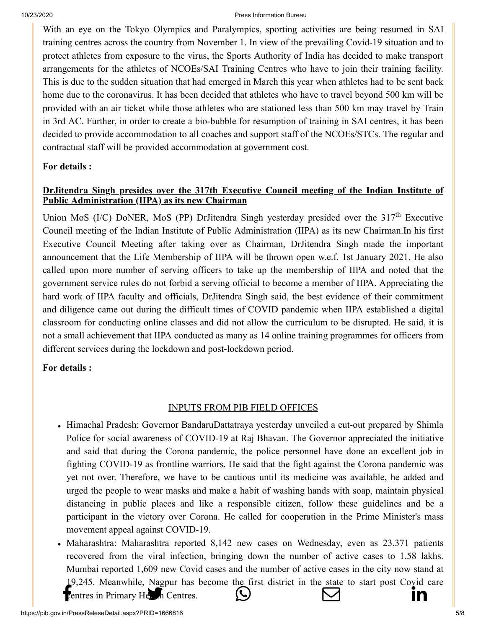[With an eye on t](http://www.facebook.com/share.php?u=https://pib.gov.in/PressReleasePage.aspx?PRID=1666816)[he Tokyo Olympics a](https://twitter.com/intent/tweet?url=https://pib.gov.in/PressReleasePage.aspx?PRID=1666816&text=PIB%E2%80%99S%20DAILY%20BULLETIN%20ON%20COVID-19)[nd Paralympics, sporti](https://api.whatsapp.com/send?text=https://pib.gov.in/PressReleasePage.aspx?PRID=1666816)[ng activities are](https://mail.google.com/mail/?view=cm&fs=1&tf=1&to=&su=PIB%E2%80%99S%20DAILY%20BULLETIN%20ON%20COVID-19&body=https://pib.gov.in/PressReleasePage.aspx?PRID=1666816&ui=2&tf=1&pli=1) bein[g resumed in SAI](https://www.linkedin.com/shareArticle?mini=true&url=https://pib.gov.in/PressReleasePage.aspx?PRID=1666816&title=PIB%E2%80%99S%20DAILY%20BULLETIN%20ON%20COVID-19&summary=My%20favorite%20developer%20program&source=LinkedIn) training centres across the country from November 1. In view of the prevailing Covid-19 situation and to protect athletes from exposure to the virus, the Sports Authority of India has decided to make transport arrangements for the athletes of NCOEs/SAI Training Centres who have to join their training facility. This is due to the sudden situation that had emerged in March this year when athletes had to be sent back home due to the coronavirus. It has been decided that athletes who have to travel beyond 500 km will be provided with an air ticket while those athletes who are stationed less than 500 km may travel by Train in 3rd AC. Further, in order to create a bio-bubble for resumption of training in SAI centres, it has been decided to provide accommodation to all coaches and support staff of the NCOEs/STCs. The regular and contractual staff will be provided accommodation at government cost.

#### **[For details :](https://pib.gov.in/PressReleseDetail.aspx?PRID=1666515)**

# **DrJitendra Singh presides over the 317th Executive Council meeting of the Indian Institute of Public Administration (IIPA) as its new Chairman**

Union MoS (I/C) DoNER, MoS (PP) DrJitendra Singh yesterday presided over the  $317<sup>th</sup>$  Executive Council meeting of the Indian Institute of Public Administration (IIPA) as its new Chairman.In his first Executive Council Meeting after taking over as Chairman, DrJitendra Singh made the important announcement that the Life Membership of IIPA will be thrown open w.e.f. 1st January 2021. He also called upon more number of serving officers to take up the membership of IIPA and noted that the government service rules do not forbid a serving official to become a member of IIPA. Appreciating the hard work of IIPA faculty and officials, DrJitendra Singh said, the best evidence of their commitment and diligence came out during the difficult times of COVID pandemic when IIPA established a digital classroom for conducting online classes and did not allow the curriculum to be disrupted. He said, it is not a small achievement that IIPA conducted as many as 14 online training programmes for officers from different services during the lockdown and post-lockdown period.

#### **[For details :](https://pib.gov.in/PressReleseDetail.aspx?PRID=1666485)**

#### INPUTS FROM PIB FIELD OFFICES

- Himachal Pradesh: Governor BandaruDattatraya yesterday unveiled a cut-out prepared by Shimla Police for social awareness of COVID-19 at Raj Bhavan. The Governor appreciated the initiative and said that during the Corona pandemic, the police personnel have done an excellent job in fighting COVID-19 as frontline warriors. He said that the fight against the Corona pandemic was yet not over. Therefore, we have to be cautious until its medicine was available, he added and urged the people to wear masks and make a habit of washing hands with soap, maintain physical distancing in public places and like a responsible citizen, follow these guidelines and be a participant in the victory over Corona. He called for cooperation in the Prime Minister's mass movement appeal against COVID-19.
- Maharashtra: Maharashtra reported 8,142 new cases on Wednesday, even as 23,371 patients recovered from the viral infection, bringing down the number of active cases to 1.58 lakhs. Mumbai reported 1,609 new Covid cases and the number of active cases in the city now stand at [19,245. Me](http://www.facebook.com/share.php?u=https://pib.gov.in/PressReleasePage.aspx?PRID=1666816)[anwhile, Nagpur has](https://twitter.com/intent/tweet?url=https://pib.gov.in/PressReleasePage.aspx?PRID=1666816&text=PIB%E2%80%99S%20DAILY%20BULLETIN%20ON%20COVID-19) [become the first distri](https://api.whatsapp.com/send?text=https://pib.gov.in/PressReleasePage.aspx?PRID=1666816)[ct in the state to start](https://mail.google.com/mail/?view=cm&fs=1&tf=1&to=&su=PIB%E2%80%99S%20DAILY%20BULLETIN%20ON%20COVID-19&body=https://pib.gov.in/PressReleasePage.aspx?PRID=1666816&ui=2&tf=1&pli=1) [post Covid care](https://www.linkedin.com/shareArticle?mini=true&url=https://pib.gov.in/PressReleasePage.aspx?PRID=1666816&title=PIB%E2%80%99S%20DAILY%20BULLETIN%20ON%20COVID-19&summary=My%20favorite%20developer%20program&source=LinkedIn) Fentres in Primary Health Centres.  $\bigotimes$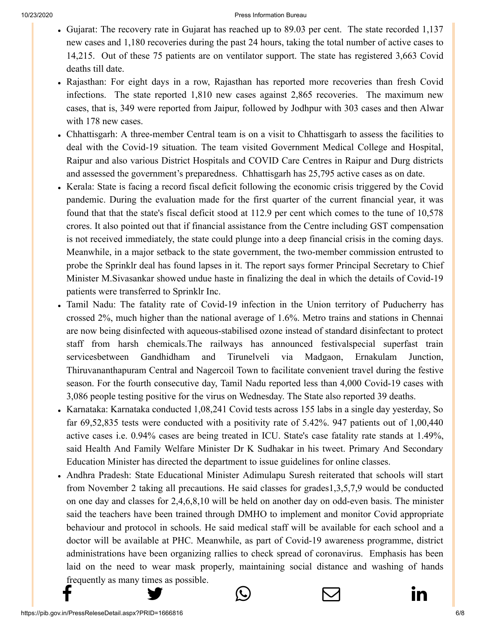- [Gujarat: Th](http://www.facebook.com/share.php?u=https://pib.gov.in/PressReleasePage.aspx?PRID=1666816)[e recovery rate in Guja](https://twitter.com/intent/tweet?url=https://pib.gov.in/PressReleasePage.aspx?PRID=1666816&text=PIB%E2%80%99S%20DAILY%20BULLETIN%20ON%20COVID-19)[rat has reached up to 8](https://api.whatsapp.com/send?text=https://pib.gov.in/PressReleasePage.aspx?PRID=1666816)[9.03 per cent. The sta](https://mail.google.com/mail/?view=cm&fs=1&tf=1&to=&su=PIB%E2%80%99S%20DAILY%20BULLETIN%20ON%20COVID-19&body=https://pib.gov.in/PressReleasePage.aspx?PRID=1666816&ui=2&tf=1&pli=1)[te recorded 1,137](https://www.linkedin.com/shareArticle?mini=true&url=https://pib.gov.in/PressReleasePage.aspx?PRID=1666816&title=PIB%E2%80%99S%20DAILY%20BULLETIN%20ON%20COVID-19&summary=My%20favorite%20developer%20program&source=LinkedIn) new cases and 1,180 recoveries during the past 24 hours, taking the total number of active cases to 14,215. Out of these 75 patients are on ventilator support. The state has registered 3,663 Covid deaths till date.
- Rajasthan: For eight days in a row, Rajasthan has reported more recoveries than fresh Covid infections. The state reported 1,810 new cases against 2,865 recoveries. The maximum new cases, that is, 349 were reported from Jaipur, followed by Jodhpur with 303 cases and then Alwar with 178 new cases.
- Chhattisgarh: A three-member Central team is on a visit to Chhattisgarh to assess the facilities to deal with the Covid-19 situation. The team visited Government Medical College and Hospital, Raipur and also various District Hospitals and COVID Care Centres in Raipur and Durg districts and assessed the government's preparedness. Chhattisgarh has 25,795 active cases as on date.
- Kerala: State is facing a record fiscal deficit following the economic crisis triggered by the Covid pandemic. During the evaluation made for the first quarter of the current financial year, it was found that that the state's fiscal deficit stood at 112.9 per cent which comes to the tune of 10,578 crores. It also pointed out that if financial assistance from the Centre including GST compensation is not received immediately, the state could plunge into a deep financial crisis in the coming days. Meanwhile, in a major setback to the state government, the two-member commission entrusted to probe the Sprinklr deal has found lapses in it. The report says former Principal Secretary to Chief Minister M.Sivasankar showed undue haste in finalizing the deal in which the details of Covid-19 patients were transferred to Sprinklr Inc.
- Tamil Nadu: The fatality rate of Covid-19 infection in the Union territory of Puducherry has crossed 2%, much higher than the national average of 1.6%. Metro trains and stations in Chennai are now being disinfected with aqueous-stabilised ozone instead of standard disinfectant to protect staff from harsh chemicals.The [railways](https://timesofindia.indiatimes.com/topic/railways) has announced [festivalspecial](https://timesofindia.indiatimes.com/topic/festival-special) superfast train servicesbetween [Gandhidham](https://timesofindia.indiatimes.com/topic/Gandhidham) and [Tirunelveli](https://timesofindia.indiatimes.com/topic/Tirunelveli) via Madgaon, Ernakulam Junction, Thiruvananthapuram Central and Nagercoil Town to facilitate convenient travel during the festive season. For the fourth consecutive day, Tamil Nadu reported less than 4,000 Covid-19 cases with 3,086 people testing positive for the virus on Wednesday. The State also reported 39 deaths.
- Karnataka: Karnataka conducted 1,08,241 Covid tests across 155 labs in a single day yesterday, So far 69,52,835 tests were conducted with a positivity rate of 5.42%. 947 patients out of 1,00,440 active cases i.e. 0.94% cases are being treated in ICU. State's case fatality rate stands at 1.49%, said Health And Family Welfare Minister Dr K Sudhakar in his tweet. Primary And Secondary Education Minister has directed the department to issue guidelines for online classes.
- Andhra Pradesh: State Educational Minister Adimulapu Suresh reiterated that schools will start from November 2 taking all precautions. He said classes for grades1,3,5,7,9 would be conducted on one day and classes for 2,4,6,8,10 will be held on another day on odd-even basis. The minister said the teachers have been trained through DMHO to implement and monitor Covid appropriate behaviour and protocol in schools. He said medical staff will be available for each school and a doctor will be available at PHC. Meanwhile, as part of Covid-19 awareness programme, district administrations have been organizing rallies to check spread of coronavirus. Emphasis has been laid on the need to wear mask properly, maintaining social distance and washing of hands [frequently a](http://www.facebook.com/share.php?u=https://pib.gov.in/PressReleasePage.aspx?PRID=1666816)[s many times as possib](https://twitter.com/intent/tweet?url=https://pib.gov.in/PressReleasePage.aspx?PRID=1666816&text=PIB%E2%80%99S%20DAILY%20BULLETIN%20ON%20COVID-19)le. f → © ⊠ in

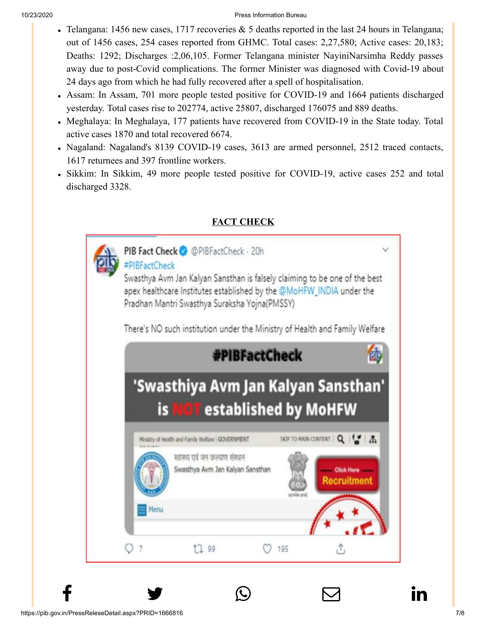- [Telangana:](http://www.facebook.com/share.php?u=https://pib.gov.in/PressReleasePage.aspx?PRID=1666816) [1456 new cases, 1717 r](https://twitter.com/intent/tweet?url=https://pib.gov.in/PressReleasePage.aspx?PRID=1666816&text=PIB%E2%80%99S%20DAILY%20BULLETIN%20ON%20COVID-19)[ecoveries & 5 deaths r](https://api.whatsapp.com/send?text=https://pib.gov.in/PressReleasePage.aspx?PRID=1666816)[eported in the last 24 h](https://mail.google.com/mail/?view=cm&fs=1&tf=1&to=&su=PIB%E2%80%99S%20DAILY%20BULLETIN%20ON%20COVID-19&body=https://pib.gov.in/PressReleasePage.aspx?PRID=1666816&ui=2&tf=1&pli=1)[ours in Telangana;](https://www.linkedin.com/shareArticle?mini=true&url=https://pib.gov.in/PressReleasePage.aspx?PRID=1666816&title=PIB%E2%80%99S%20DAILY%20BULLETIN%20ON%20COVID-19&summary=My%20favorite%20developer%20program&source=LinkedIn) out of 1456 cases, 254 cases reported from GHMC. Total cases: 2,27,580; Active cases: 20,183; Deaths: 1292; Discharges :2,06,105. Former Telangana minister NayiniNarsimha Reddy passes away due to post-Covid complications. The former Minister was diagnosed with Covid-19 about 24 days ago from which he had fully recovered after a spell of hospitalisation.
- Assam: In Assam, 701 more people tested positive for COVID-19 and 1664 patients discharged yesterday. Total cases rise to 202774, active 25807, discharged 176075 and 889 deaths.
- Meghalaya: In Meghalaya, 177 patients have recovered from COVID-19 in the State today. Total active cases 1870 and total recovered 6674.
- Nagaland: Nagaland's 8139 COVID-19 cases, 3613 are armed personnel, 2512 traced contacts, 1617 returnees and 397 frontline workers.
- Sikkim: In Sikkim, 49 more people tested positive for COVID-19, active cases 252 and total discharged 3328.



 $f$  y  $\circledcirc$   $\quad \circ$  in

# **FACT CHECK**